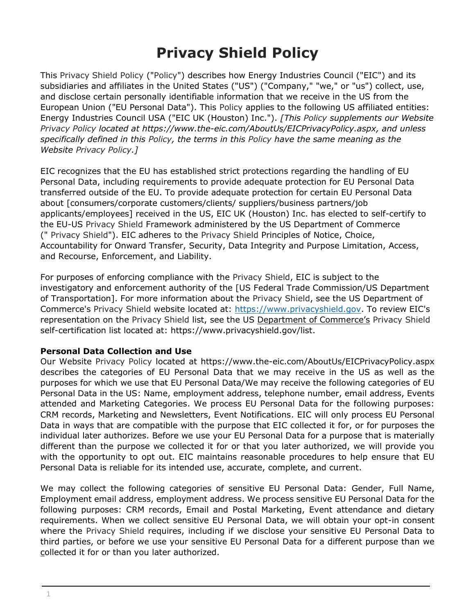# **Privacy Shield Policy**

This Privacy Shield Policy ("Policy") describes how Energy Industries Council ("EIC") and its subsidiaries and affiliates in the United States ("US") ("Company," "we," or "us") collect, use, and disclose certain personally identifiable information that we receive in the US from the European Union ("EU Personal Data"). This Policy applies to the following US affiliated entities: Energy Industries Council USA ("EIC UK (Houston) Inc."). *[This Policy supplements our Website Privacy Policy located at [https://www.the-eic.com/AboutUs/EICPrivacyPolicy.aspx,](https://www.the-eic.com/AboutUs/EICPrivacyPolicy.aspx) and unless specifically defined in this Policy, the terms in this Policy have the same meaning as the Website Privacy Policy.]*

EIC recognizes that the EU has established strict protections regarding the handling of EU Personal Data, including requirements to provide adequate protection for EU Personal Data transferred outside of the EU. To provide adequate protection for certain EU Personal Data about [consumers/corporate customers/clients/ suppliers/business partners/job applicants/employees] received in the US, EIC UK (Houston) Inc. has elected to self-certify to the EU-US Privacy Shield Framework administered by the US Department of Commerce (" Privacy Shield"). EIC adheres to the Privacy Shield Principles of Notice, Choice, Accountability for Onward Transfer, Security, Data Integrity and Purpose Limitation, Access, and Recourse, Enforcement, and Liability.

For purposes of enforcing compliance with the Privacy Shield, EIC is subject to the investigatory and e[nforcement authority of the \[US F](https://www.privacyshield.gov/)ederal Trade Commission/US Department of Transportation]. For more information about the Privacy Shield, see the US Department of Commerce's Privacy Shield website located at: [https://www.privacyshield.gov.](https://www.privacyshield.gov/) To review EIC's representation on the Privacy Shield list, see the US Department of Commerce's Privacy Shield self-certification list located at: https://www.privacyshield.gov/list.

#### **Personal Data Collection and Use**

Our Website Privacy Policy located at<https://www.the-eic.com/AboutUs/EICPrivacyPolicy.aspx> describes the categories of EU Personal Data that we may receive in the US as well as the purposes for which we use that EU Personal Data/We may receive the following categories of EU Personal Data in the US: Name, employment address, telephone number, email address, Events attended and Marketing Categories. We process EU Personal Data for the following purposes: CRM records, Marketing and Newsletters, Event Notifications. EIC will only process EU Personal Data in ways that are compatible with the purpose that EIC collected it for, or for purposes the individual later authorizes. Before we use your EU Personal Data for a purpose that is materially different than the purpose we collected it for or that you later authorized, we will provide you with the opportunity to opt out. EIC maintains reasonable procedures to help ensure that EU Personal Data is reliable for its intended use, accurate, complete, and current.

We may collect the following categories of sensitive EU Personal Data: Gender, Full Name, Employment email address, employment address. We process sensitive EU Personal Data for the following purposes: CRM records, Email and Postal Marketing, Event attendance and dietary requirements. When we collect sensitive EU Personal Data, we will obtain your opt-in consent where the Privacy Shield requires, including if we disclose your sensitive EU Personal Data to third parties, or before we use your sensitive EU Personal Data for a different purpose than we collected it for or than you later authorized.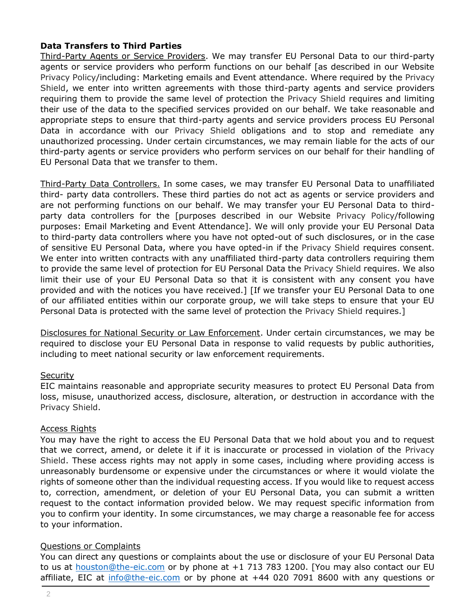## **Data Transfers to Third Parties**

Third-Party Agents or Service Providers. We may transfer EU Personal Data to our third-party agents or service providers who perform functions on our behalf [as described in our Website Privacy Policy/including: Marketing emails and Event attendance. Where required by the Privacy Shield, we enter into written agreements with those third-party agents and service providers requiring them to provide the same level of protection the Privacy Shield requires and limiting their use of the data to the specified services provided on our behalf. We take reasonable and appropriate steps to ensure that third-party agents and service providers process EU Personal Data in accordance with our Privacy Shield obligations and to stop and remediate any unauthorized processing. Under certain circumstances, we may remain liable for the acts of our third-party agents or service providers who perform services on our behalf for their handling of EU Personal Data that we transfer to them.

Third-Party Data Controllers. In some cases, we may transfer EU Personal Data to unaffiliated third- party data controllers. These third parties do not act as agents or service providers and are not performing functions on our behalf. We may transfer your EU Personal Data to thirdparty data controllers for the [purposes described in our Website Privacy Policy/following purposes: Email Marketing and Event Attendance]. We will only provide your EU Personal Data to third-party data controllers where you have not opted-out of such disclosures, or in the case of sensitive EU Personal Data, where you have opted-in if the Privacy Shield requires consent. We enter into written contracts with any unaffiliated third-party data controllers requiring them to provide the same level of protection for EU Personal Data the Privacy Shield requires. We also limit their use of your EU Personal Data so that it is consistent with any consent you have provided and with the notices you have received.] [If we transfer your EU Personal Data to one of our affiliated entities within our corporate group, we will take steps to ensure that your EU Personal Data is protected with the same level of protection the Privacy Shield requires.]

Disclosures for National Security or Law Enforcement. Under certain circumstances, we may be required to disclose your EU Personal Data in response to valid requests by public authorities, including to meet national security or law enforcement requirements.

#### **Security**

EIC maintains reasonable and appropriate security measures to protect EU Personal Data from loss, misuse, unauthorized access, disclosure, alteration, or destruction in accordance with the Privacy Shield.

#### Access Rights

You may have the right to access the EU Personal Data that we hold about you and to request that we correct, amend, or delete it if it is inaccurate or processed in violation of the Privacy Shield. These access rights may not apply in some cases, including where providing access is unreasonably burdensome or expensive under the circumstances or where it would violate the rights of someone other than the individual requesting access. If you would like to request access to, correction, amendment, or deletion of your EU Personal Data, you can submit a written request to the contact information provided below. We may request specific information from you to confirm your identity. In some circumstances, we may charge a reasonable fee for access to your information.

#### Questions or Complaints

You can direct any questions or complaints about the use or disclosure of your EU Personal Data to us at [houston@the-eic.com](mailto:houston@the-eic.com) or by phone at +1 713 783 1200. [You may also contact our EU affiliate, EIC at [info@the-eic.com](mailto:info@the-eic.com) or by phone at +44 020 7091 8600 with any questions or